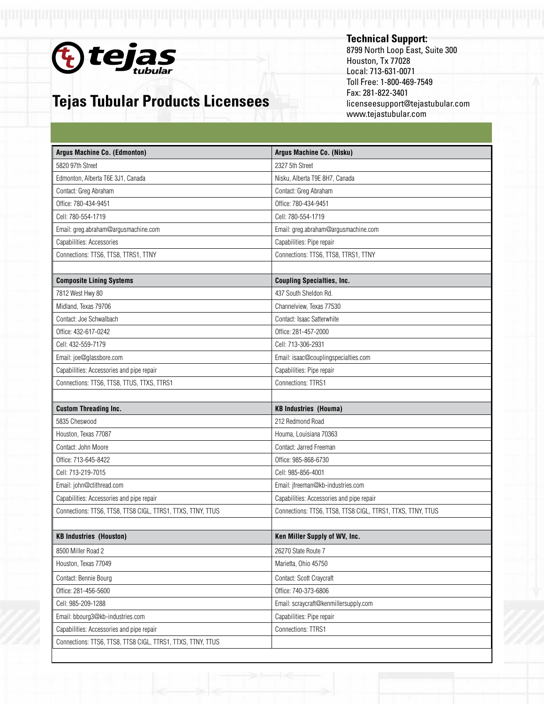

## **Tejas Tubular Products Licensees**

## **Technical Support:**

8799 North Loop East, Suite 300 Houston, Tx 77028 Local: 713-631-0071 Toll Free: 1-800-469-7549 Fax: 281-822-3401 licenseesupport@tejastubular.com www.tejastubular.com

| Argus Machine Co. (Edmonton)                                | Argus Machine Co. (Nisku)                                   |
|-------------------------------------------------------------|-------------------------------------------------------------|
| 5820 97th Street                                            | 2327 5th Street                                             |
| Edmonton, Alberta T6E 3J1, Canada                           | Nisku, Alberta T9E 8H7, Canada                              |
| Contact: Greg Abraham                                       | Contact: Greg Abraham                                       |
| Office: 780-434-9451                                        | Office: 780-434-9451                                        |
| Cell: 780-554-1719                                          | Cell: 780-554-1719                                          |
| Email: greg.abraham@argusmachine.com                        | Email: greg.abraham@argusmachine.com                        |
| Capabilities: Accessories                                   | Capabilities: Pipe repair                                   |
| Connections: TTS6, TTS8, TTRS1, TTNY                        | Connections: TTS6, TTS8, TTRS1, TTNY                        |
|                                                             |                                                             |
| <b>Composite Lining Systems</b>                             | <b>Coupling Specialties, Inc.</b>                           |
| 7812 West Hwy 80                                            | 437 South Sheldon Rd.                                       |
| Midland, Texas 79706                                        | Channelview, Texas 77530                                    |
| Contact: Joe Schwalbach                                     | Contact: Isaac Satterwhite                                  |
| Office: 432-617-0242                                        | Office: 281-457-2000                                        |
| Cell: 432-559-7179                                          | Cell: 713-306-2931                                          |
| Email: joe@glassbore.com                                    | Email: isaac@couplingspecialties.com                        |
| Capabilities: Accessories and pipe repair                   | Capabilities: Pipe repair                                   |
| Connections: TTS6, TTS8, TTUS, TTXS, TTRS1                  | <b>Connections: TTRS1</b>                                   |
|                                                             |                                                             |
| <b>Custom Threading Inc.</b>                                | <b>KB Industries (Houma)</b>                                |
| 5835 Cheswood                                               | 212 Redmond Road                                            |
|                                                             |                                                             |
| Houston, Texas 77087                                        | Houma, Louisiana 70363                                      |
| Contact: John Moore                                         | Contact: Jarred Freeman                                     |
| Office: 713-645-8422                                        | Office: 985-868-6730                                        |
| Cell: 713-219-7015                                          | Cell: 985-856-4001                                          |
| Email: john@ctithread.com                                   | Email: jfreeman@kb-industries.com                           |
| Capabilities: Accessories and pipe repair                   | Capabilities: Accessories and pipe repair                   |
| Connections: TTS6, TTS8, TTS8 CIGL, TTRS1, TTXS, TTNY, TTUS | Connections: TTS6, TTS8, TTS8 CIGL, TTRS1, TTXS, TTNY, TTUS |
|                                                             |                                                             |
| <b>KB Industries (Houston)</b>                              | Ken Miller Supply of WV, Inc.                               |
| 8500 Miller Road 2                                          | 26270 State Route 7                                         |
| Houston, Texas 77049                                        | Marietta, Ohio 45750                                        |
| Contact: Bennie Bourg                                       | Contact: Scott Craycraft                                    |
| Office: 281-456-5600                                        | Office: 740-373-6806                                        |
| Cell: 985-209-1288                                          | Email: scraycraft@kenmillersupply.com                       |
| Email: bbourg3@kb-industries.com                            | Capabilities: Pipe repair                                   |
| Capabilities: Accessories and pipe repair                   | Connections: TTRS1                                          |